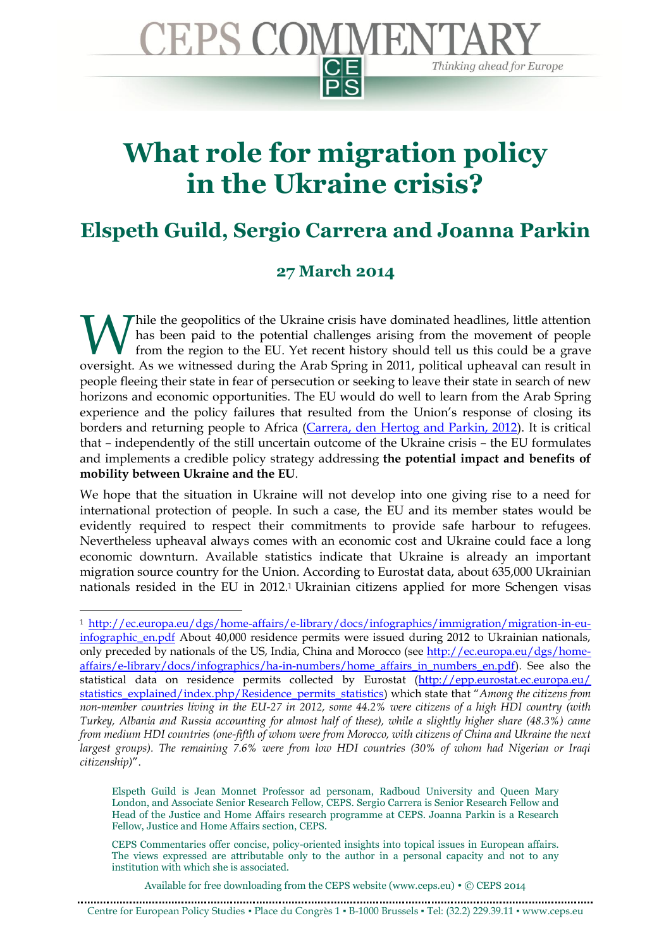## **What role for migration policy in the Ukraine crisis?**

Thinking ahead for Europe

EPS COMMEI

## **Elspeth Guild, Sergio Carrera and Joanna Parkin**

## **27 March 2014**

Thile the geopolitics of the Ukraine crisis have dominated headlines, little attention has been paid to the potential challenges arising from the movement of people from the region to the EU. Yet recent history should tell us this could be a grave While the geopolitics of the Ukraine crisis have dominated headlines, little attention has been paid to the potential challenges arising from the movement of people from the region to the EU. Yet recent history should tell people fleeing their state in fear of persecution or seeking to leave their state in search of new horizons and economic opportunities. The EU would do well to learn from the Arab Spring experience and the policy failures that resulted from the Union's response of closing its borders and returning people to Africa [\(Carrera, den Hertog and Parkin, 2012\)](http://www.ceps.eu/book/eu-migration-policy-wake-arab-spring-what-prospects-eu-southern-mediterranean-relations). It is critical that – independently of the still uncertain outcome of the Ukraine crisis – the EU formulates and implements a credible policy strategy addressing **the potential impact and benefits of mobility between Ukraine and the EU**.

We hope that the situation in Ukraine will not develop into one giving rise to a need for international protection of people. In such a case, the EU and its member states would be evidently required to respect their commitments to provide safe harbour to refugees. Nevertheless upheaval always comes with an economic cost and Ukraine could face a long economic downturn. Available statistics indicate that Ukraine is already an important migration source country for the Union. According to Eurostat data, about 635,000 Ukrainian nationals resided in the EU in 2012.<sup>1</sup> Ukrainian citizens applied for more Schengen visas

 $\overline{a}$ 

Elspeth Guild is Jean Monnet Professor ad personam, Radboud University and Queen Mary London, and Associate Senior Research Fellow, CEPS. Sergio Carrera is Senior Research Fellow and Head of the Justice and Home Affairs research programme at CEPS. Joanna Parkin is a Research Fellow, Justice and Home Affairs section, CEPS.

CEPS Commentaries offer concise, policy-oriented insights into topical issues in European affairs. The views expressed are attributable only to the author in a personal capacity and not to any institution with which she is associated.

Available for free downloading from the CEPS website (www.ceps.eu) • © CEPS 2014

<sup>1</sup> [http://ec.europa.eu/dgs/home-affairs/e-library/docs/infographics/immigration/migration-in-eu](http://ec.europa.eu/dgs/home-affairs/e-library/docs/infographics/immigration/migration-in-eu-infographic_en.pdf)[infographic\\_en.pdf](http://ec.europa.eu/dgs/home-affairs/e-library/docs/infographics/immigration/migration-in-eu-infographic_en.pdf) About 40,000 residence permits were issued during 2012 to Ukrainian nationals, only preceded by nationals of the US, India, China and Morocco (see [http://ec.europa.eu/dgs/home](http://ec.europa.eu/dgs/home-affairs/e-library/docs/infographics/ha-in-numbers/home_affairs_in_numbers_en.pdf)[affairs/e-library/docs/infographics/ha-in-numbers/home\\_affairs\\_in\\_numbers\\_en.pdf\)](http://ec.europa.eu/dgs/home-affairs/e-library/docs/infographics/ha-in-numbers/home_affairs_in_numbers_en.pdf). See also the statistical data on residence permits collected by Eurostat [\(http://epp.eurostat.ec.europa.eu/](http://epp.eurostat.ec.europa.eu/statistics_explained/index.php/Residence_permits_statistics) [statistics\\_explained/index.php/Residence\\_permits\\_statistics](http://epp.eurostat.ec.europa.eu/statistics_explained/index.php/Residence_permits_statistics)) which state that "*Among the citizens from non-member countries living in the EU-27 in 2012, some 44.2% were citizens of a high HDI country (with Turkey, Albania and Russia accounting for almost half of these), while a slightly higher share (48.3%) came from medium HDI countries (one-fifth of whom were from Morocco, with citizens of China and Ukraine the next largest groups). The remaining 7.6% were from low HDI countries (30% of whom had Nigerian or Iraqi citizenship)*".

Centre for European Policy Studies ▪ Place du Congrès 1 ▪ B-1000 Brussels ▪ Tel: (32.2) 229.39.11 ▪ www.ceps.eu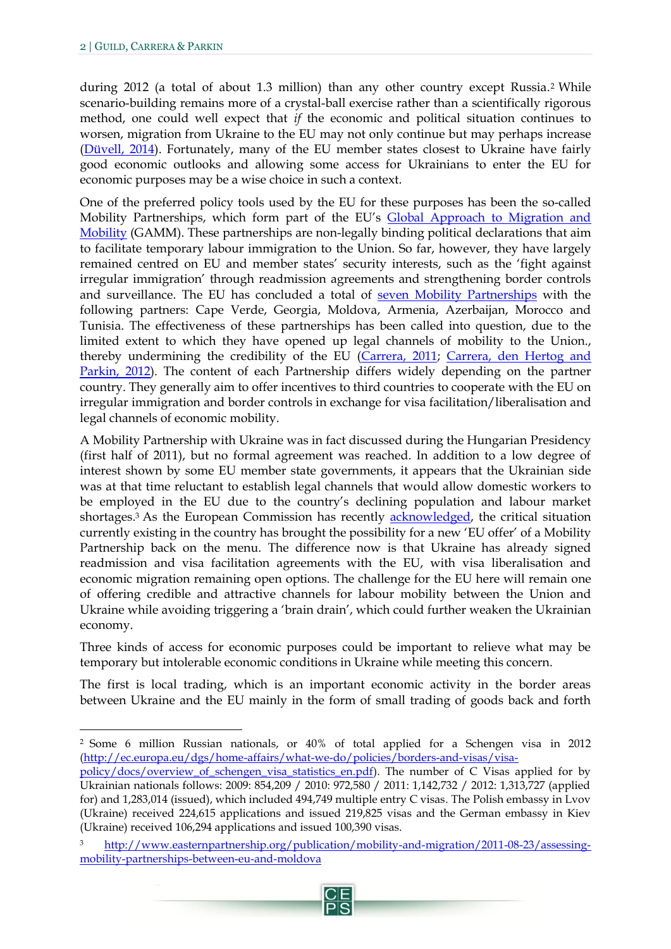$\overline{a}$ 

during 2012 (a total of about 1.3 million) than any other country except Russia. <sup>2</sup> While scenario-building remains more of a crystal-ball exercise rather than a scientifically rigorous method, one could well expect that *if* the economic and political situation continues to worsen, migration from Ukraine to the EU may not only continue but may perhaps increase [\(Düvell, 2014\)](http://compasoxfordblog.co.uk/2014/03/the-crisis-in-ukraine-and-its-implications-for-migration-in-europe/). Fortunately, many of the EU member states closest to Ukraine have fairly good economic outlooks and allowing some access for Ukrainians to enter the EU for economic purposes may be a wise choice in such a context.

One of the preferred policy tools used by the EU for these purposes has been the so-called Mobility Partnerships, which form part of the EU's [Global Approach to Migration and](http://ec.europa.eu/dgs/home-affairs/what-we-do/policies/international-affairs/global-approach-to-migration/index_en.htm)  [Mobility](http://ec.europa.eu/dgs/home-affairs/what-we-do/policies/international-affairs/global-approach-to-migration/index_en.htm) (GAMM). These partnerships are non-legally binding political declarations that aim to facilitate temporary labour immigration to the Union. So far, however, they have largely remained centred on EU and member states' security interests, such as the 'fight against irregular immigration' through readmission agreements and strengthening border controls and surveillance. The EU has concluded a total of [seven Mobility Partnerships](http://ec.europa.eu/dgs/home-affairs/what-we-do/policies/international-affairs/global-approach-to-migration/index_en.htm) with the following partners: Cape Verde, Georgia, Moldova, Armenia, Azerbaijan, Morocco and Tunisia. The effectiveness of these partnerships has been called into question, due to the limited extent to which they have opened up legal channels of mobility to the Union., thereby undermining the credibility of the EU [\(Carrera,](http://www.ceps.eu/book/eu%E2%80%99s-dialogue-migration-mobility-and-security-southern-mediterranean-filling-gaps-global-approa) 2011; [Carrera, den Hertog and](http://www.ceps.eu/book/eu-migration-policy-wake-arab-spring-what-prospects-eu-southern-mediterranean-relations)  [Parkin, 2012\)](http://www.ceps.eu/book/eu-migration-policy-wake-arab-spring-what-prospects-eu-southern-mediterranean-relations). The content of each Partnership differs widely depending on the partner country. They generally aim to offer incentives to third countries to cooperate with the EU on irregular immigration and border controls in exchange for visa facilitation/liberalisation and legal channels of economic mobility.

A Mobility Partnership with Ukraine was in fact discussed during the Hungarian Presidency (first half of 2011), but no formal agreement was reached. In addition to a low degree of interest shown by some EU member state governments, it appears that the Ukrainian side was at that time reluctant to establish legal channels that would allow domestic workers to be employed in the EU due to the country's declining population and labour market shortages.<sup>3</sup> As the European Commission has recently **acknowledged**, the critical situation currently existing in the country has brought the possibility for a new 'EU offer' of a Mobility Partnership back on the menu. The difference now is that Ukraine has already signed readmission and visa facilitation agreements with the EU, with visa liberalisation and economic migration remaining open options. The challenge for the EU here will remain one of offering credible and attractive channels for labour mobility between the Union and Ukraine while avoiding triggering a 'brain drain', which could further weaken the Ukrainian economy.

Three kinds of access for economic purposes could be important to relieve what may be temporary but intolerable economic conditions in Ukraine while meeting this concern.

The first is local trading, which is an important economic activity in the border areas between Ukraine and the EU mainly in the form of small trading of goods back and forth

<sup>2</sup> Some 6 million Russian nationals, or 40% of total applied for a Schengen visa in 2012 [\(http://ec.europa.eu/dgs/home-affairs/what-we-do/policies/borders-and-visas/visa-](http://ec.europa.eu/dgs/home-affairs/what-we-do/policies/borders-and-visas/visa-policy/docs/overview_of_schengen_visa_statistics_en.pdf)

[policy/docs/overview\\_of\\_schengen\\_visa\\_statistics\\_en.pdf\)](http://ec.europa.eu/dgs/home-affairs/what-we-do/policies/borders-and-visas/visa-policy/docs/overview_of_schengen_visa_statistics_en.pdf). The number of C Visas applied for by Ukrainian nationals follows: 2009: 854,209 / 2010: 972,580 / 2011: 1,142,732 / 2012: 1,313,727 (applied for) and 1,283,014 (issued), which included 494,749 multiple entry C visas. The Polish embassy in Lvov (Ukraine) received 224,615 applications and issued 219,825 visas and the German embassy in Kiev (Ukraine) received 106,294 applications and issued 100,390 visas.

[http://www.easternpartnership.org/publication/mobility-and-migration/2011-08-23/assessing](http://www.easternpartnership.org/publication/mobility-and-migration/2011-08-23/assessing-mobility-partnerships-between-eu-and-moldova)[mobility-partnerships-between-eu-and-moldova](http://www.easternpartnership.org/publication/mobility-and-migration/2011-08-23/assessing-mobility-partnerships-between-eu-and-moldova)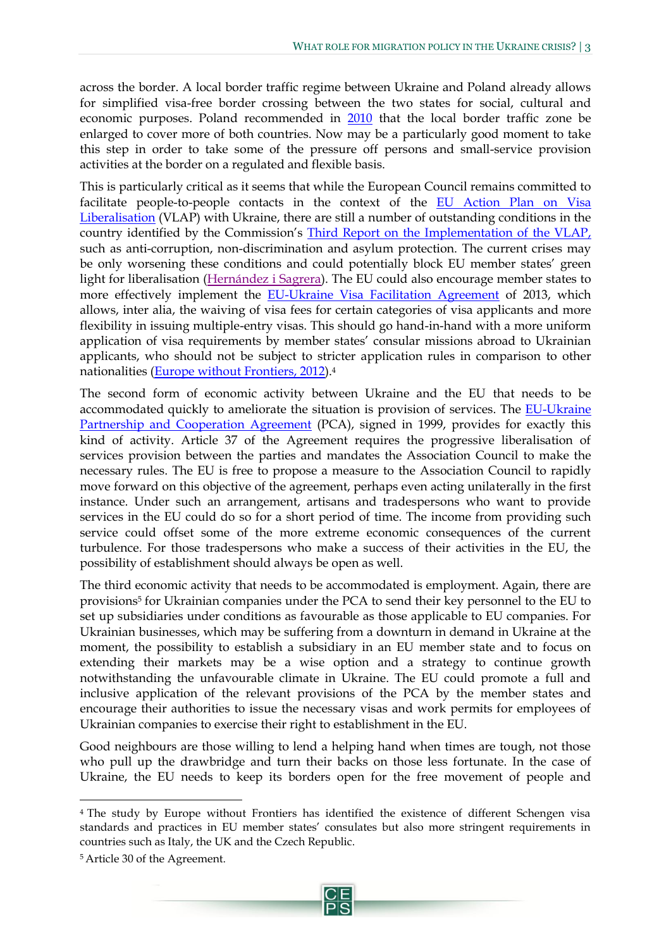across the border. A local border traffic regime between Ukraine and Poland already allows for simplified visa-free border crossing between the two states for social, cultural and economic purposes. Poland recommended in [2010](http://www.kyivpost.com/content/ukraine/poland-initiates-extension-of-local-border-traffic-84169.html) that the local border traffic zone be enlarged to cover more of both countries. Now may be a particularly good moment to take this step in order to take some of the pressure off persons and small-service provision activities at the border on a regulated and flexible basis.

This is particularly critical as it seems that while the European Council remains committed to facilitate people-to-people contacts in the context of the EU Action Plan on Visa [Liberalisation](http://www.consilium.europa.eu/uedocs/cms_data/docs/pressdata/en/ec/141372.pdf) (VLAP) with Ukraine, there are still a number of outstanding conditions in the country identified by the Commission's [Third Report on the Implementation of the VLAP,](http://eur-lex.europa.eu/LexUriServ/LexUriServ.do?uri=COM:2013:0809:FIN:EN:PDF) such as anti-corruption, non-discrimination and asylum protection. The current crises may be only worsening these conditions and could potentially block EU member states' green light for liberalisation [\(Hernández i](http://www.ceps.eu/book/impact-visa-liberalisation-eastern-partnership-countries-russia-and-turkey-trans-border-mobilit) Sagrera). The EU could also encourage member states to more effectively implement the [EU-Ukraine Visa Facilitation Agreement](http://eur-lex.europa.eu/LexUriServ/LexUriServ.do?uri=CELEX:22007A1218%2802%29:EN:HTML) of 2013, which allows, inter alia, the waiving of visa fees for certain categories of visa applicants and more flexibility in issuing multiple-entry visas. This should go hand-in-hand with a more uniform application of visa requirements by member states' consular missions abroad to Ukrainian applicants, who should not be subject to stricter application rules in comparison to other nationalities (<u>Europe without Frontiers, 2012</u>).<sup>4</sup>

The second form of economic activity between Ukraine and the EU that needs to be accommodated quickly to ameliorate the situation is provision of services. The [EU-Ukraine](http://eur-lex.europa.eu/LexUriServ/LexUriServ.do?uri=OJ:L:1998:049:0003:0039:EN:PDF)  [Partnership and Cooperation Agreement](http://eur-lex.europa.eu/LexUriServ/LexUriServ.do?uri=OJ:L:1998:049:0003:0039:EN:PDF) (PCA), signed in 1999, provides for exactly this kind of activity. Article 37 of the Agreement requires the progressive liberalisation of services provision between the parties and mandates the Association Council to make the necessary rules. The EU is free to propose a measure to the Association Council to rapidly move forward on this objective of the agreement, perhaps even acting unilaterally in the first instance. Under such an arrangement, artisans and tradespersons who want to provide services in the EU could do so for a short period of time. The income from providing such service could offset some of the more extreme economic consequences of the current turbulence. For those tradespersons who make a success of their activities in the EU, the possibility of establishment should always be open as well.

The third economic activity that needs to be accommodated is employment. Again, there are provisions<sup>5</sup> for Ukrainian companies under the PCA to send their key personnel to the EU to set up subsidiaries under conditions as favourable as those applicable to EU companies. For Ukrainian businesses, which may be suffering from a downturn in demand in Ukraine at the moment, the possibility to establish a subsidiary in an EU member state and to focus on extending their markets may be a wise option and a strategy to continue growth notwithstanding the unfavourable climate in Ukraine. The EU could promote a full and inclusive application of the relevant provisions of the PCA by the member states and encourage their authorities to issue the necessary visas and work permits for employees of Ukrainian companies to exercise their right to establishment in the EU.

Good neighbours are those willing to lend a helping hand when times are tough, not those who pull up the drawbridge and turn their backs on those less fortunate. In the case of Ukraine, the EU needs to keep its borders open for the free movement of people and

 $\overline{a}$ 



<sup>4</sup> The study by Europe without Frontiers has identified the existence of different Schengen visa standards and practices in EU member states' consulates but also more stringent requirements in countries such as Italy, the UK and the Czech Republic.

<sup>5</sup> Article 30 of the Agreement.